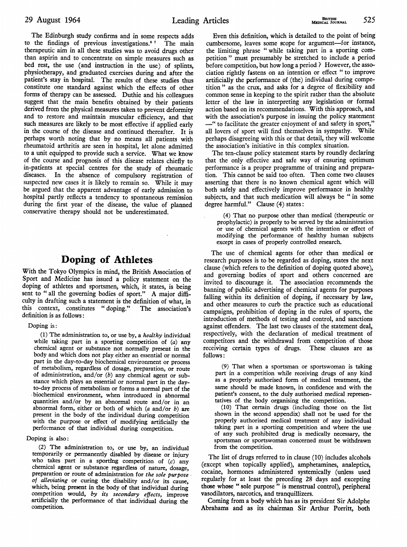The Edinburgh study confirms and in some respects adds to the findings of previous investigations.<sup>67</sup> The main therapeutic aim in all these studies was to avoid drugs other than aspirin and to concentrate on simple measures such as bed rest, the use (and instruction in the use) of splints, physiotherapy, and graduated exercises during and after the patient's stay in hospital. The results of these studies thus constitute one standard against which the effects of other forms of therapy can be assessed. Duthie and his colleagues suggest that the main benefits obtained by their patients derived from the physical measures taken to prevent deformity and to restore and maintain muscular efficiency, and that such measures are likely to be most effective if applied early in the course of the disease and continued thereafter. It is perhaps worth noting that by no means all patients with rheumatoid arthritis are seen in hospital, let alone admitted to a unit equipped to provide such a service. What we know of the course and prognosis of this disease relates chiefly to in-patients at special centres for the study of rheumatic In the absence of compulsory registration of suspected new cases it is likely to remain so. While it may be argued that the apparent advantage of early admission to hospital partly reflects a tendency to spontaneous remission during the first year of the disease, the value of planned conservative therapy should not be underestimated.

### Doping of Athletes

With the Tokyo Olympics in mind, the British Association of Sport and Medicine has issued a policy statement on the doping of athletes and sportsmen, which, it states, is being sent to " all the governing bodies of sport." A major difficulty in drafting such a statement is the definition of what, in this context, constitutes "doping." The association's definition is as follows:

#### Doping is:

(1) The administration to, or use by, <sup>a</sup> healthy individual while taking part in a sporting competition of (a) any chemical agent or substance not normally present in the body and which does not play either an essential or normal part in the day-to-day biochemical environment or process of metabolism, regardless of dosage, preparation, or route of administration, and/or  $(b)$  any chemical agent or substance which plays an essential or normal part in the dayto-day process of metabolism or forms a normal part of the ,biochemical environment, when introduced in abnormal quantities and/or by an abnormal route and/or in an abnormal form, either or both of which  $(a \text{ and/or } b)$  are present in the body of the individual during competition with the purpose or effect of modifying artificially the performance of that individual during competition.

#### Doping is also:

(2) The administration to, or use by, an individual temporarily or permanently disabled by disease or injury who takes part in a sporting competition of  $(c)$  any chemical agent or substance regardless of nature, dosage, preparation or route of administration for the sole purpose of alleviating or curing the disability and/or its cause, which, being present in the body of that individual during competition would, by its secondary effects, improve artificially the performance of that individual during the competition

Even this definition, which is detailed to the point of being cumbersome, leaves some scope for argument-for instance, the limiting phrase " while taking part in a sporting competition " must presumably be stretched to include a period before competition, but how long a period ? However, the association rightly fastens on an intention or effect " to improve artificially the performance of (the) individual during competition " as the crux, and asks for a degree of flexibility and common sense in keeping to the spirit rather than the absolute letter of the law in interpreting any legislation or formal action based on its recommendations. With this approach, and with the association's purpose in issuing the policy statement -" to facilitate the greater enjoyment of and safety in sport," all lovers of sport will find themselves in sympathy. While perhaps disagreeing with this or that detail, they will welcome the association's initiative in this complex situation.

The ten-clause policy statement starts by roundly declaring that the only effective and safe way of ensuring optimum performance is a proper programme of training and preparation. This cannot be said too often. Then come two clauses asserting that there is no known chemical agent which will both safely and effectively improve performance in healthy subjects, and that such medication will always be " in some degree harmful." Clause (4) states:

(4) That no purpose other than medical (therapeutic or prophylactic) is properly to be served by the administration or use of chemical agents with the intention or effect of modifying the performance of healthy human subjects except in cases of properly controlled research.

The use of chemical agents for other than medical or research purposes is to be regarded as doping, states the next clause (which refers to the definition of doping quoted above), and governing bodies of sport and others concerned are invited to discourage it. The association recommends the banning of public advertising of chemical agents for purposes falling within its definition of doping, if necessary by law, and other measures to curb the practice such as educational campaigns, prohibition of doping in the rules of sports, the introduction of methods of testing and control, and sanctions against offenders. The last two clauses of the statement deal, respectively, with the declaration of medical treatment of competitors and the withdrawal from competition of those receiving certain types of drugs. These clauses are as follows:

(9) That when a sportsman or sportswoman is taking part in a competition while receiving drugs of any kind as a properly authorised form of medical treatment, the same should be made known, in confidence and with the patient's consent, to the duly authorised medical representatives of the body organising the competition.

(10) That certain drugs (including those on the list shown in the second appendix) shall not be used for the properly authorised medical treatment of any individual taking part in a sporting competition and where the use of any such prohibited drug is medically necessary, the sportsman or sportswoman concerned must be withdrawn from the competition.

The list of drugs referred to in clause (10) includes alcohols (except when topically applied), amphetamines, analeptics, cocaine, hormones administered systemically (unless used regularly for at least the preceding 28 days and excepting those whose " sole purpose " is menstrual control), peripheral vasodilators, narcotics, and tranquillizers.

Coming from a body which has as its president Sir Adolphe Abrahams and as its chairman Sir Arthur Porritt, both